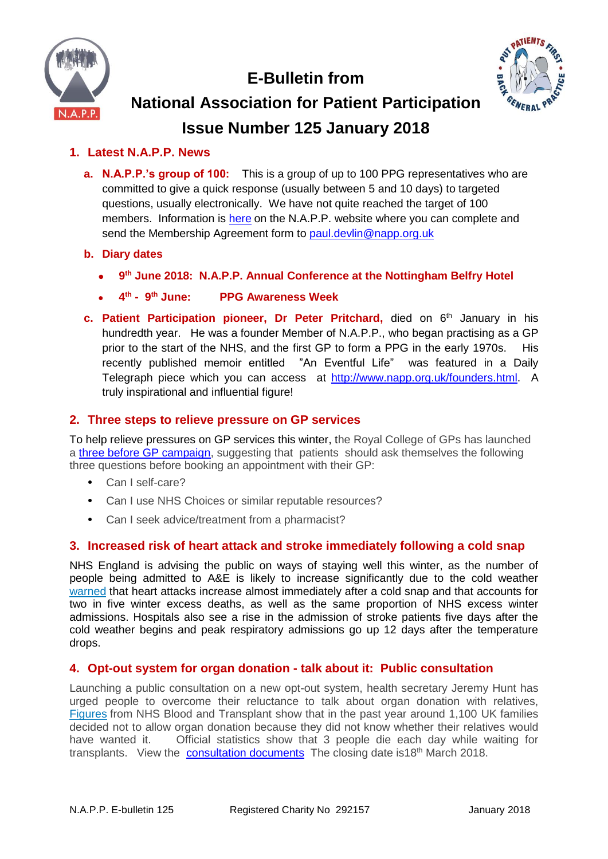

**E-Bulletin from**



# **National Association for Patient Participation Issue Number 125 January 2018**

# **1. Latest N.A.P.P. News**

- **a. N.A.P.P.'s group of 100:** This is a group of up to 100 PPG representatives who are committed to give a quick response (usually between 5 and 10 days) to targeted questions, usually electronically. We have not quite reached the target of 100 members. Information is [here](https://www.napp.org.uk/membersonly/groupof100.html) on the N.A.P.P. website where you can complete and send the Membership Agreement form to [paul.devlin@napp.org.uk](mailto:paul.devlin@napp.org.uk)
- **b. Diary dates**
	- **9 th June 2018: N.A.P.P. Annual Conference at the Nottingham Belfry Hotel**
	- $\bullet$  4<sup>th</sup> 9 **PPG Awareness Week**
- **c.** Patient Participation pioneer, Dr Peter Pritchard, died on 6<sup>th</sup> January in his hundredth year. He was a founder Member of N.A.P.P., who began practising as a GP prior to the start of the NHS, and the first GP to form a PPG in the early 1970s. His recently published memoir entitled "An Eventful Life" was featured in a Daily Telegraph piece which you can access at [http://www.napp.org.uk/founders.html.](http://www.napp.org.uk/founders.html) A truly inspirational and influential figure!

## **2. Three steps to relieve pressure on GP services**

To help relieve pressures on GP services this winter, the Royal College of GPs has launched a [three before GP campaign,](http://www.rcgp.org.uk/news/2017/december/3-before-gp-new-rcgp-mantra-to-help-combat-winter-pressures-in-general-practice.aspx) suggesting that patients should ask themselves the following three questions before booking an appointment with their GP:

- **•** Can I self-care?
- **•** Can I use NHS Choices or similar reputable resources?
- **•** Can I seek advice/treatment from a pharmacist?

# **3. Increased risk of heart attack and stroke immediately following a cold snap**

NHS England is advising the public on ways of staying well this winter, as the number of people being admitted to A&E is likely to increase significantly due to the cold weather [warned](https://www.england.nhs.uk/2017/12/nhs-england-warns-of-increased-risk-of-heart-attack-and-stroke-in-the-days-immediately-following-a-cold-snap/) that heart attacks increase almost immediately after a cold snap and that accounts for two in five winter excess deaths, as well as the same proportion of NHS excess winter admissions. Hospitals also see a rise in the admission of stroke patients five days after the cold weather begins and peak respiratory admissions go up 12 days after the temperature drops.

## **4. Opt-out system for organ donation - talk about it: Public consultation**

Launching a public consultation on a new opt-out system, health secretary Jeremy Hunt has urged people to overcome their reluctance to talk about organ donation with relatives, [Figures](https://www.gov.uk/government/news/health-secretary-urges-people-to-talk-to-each-other-about-organ-donation) from NHS Blood and Transplant show that in the past year around 1,100 UK families decided not to allow organ donation because they did not know whether their relatives would have wanted it. Official statistics show that 3 people die each day while waiting for transplants. View the [consultation documents](https://www.gov.uk/government/consultations/introducing-opt-out-consent-for-organ-and-tissue-donation-in-england) The closing date is 18<sup>th</sup> March 2018.